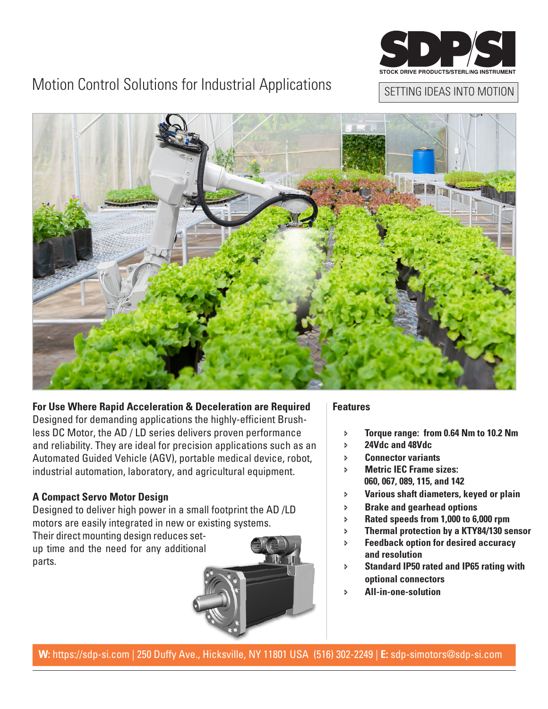

# Motion Control Solutions for Industrial Applications

## SETTING IDEAS INTO MOTION



### **For Use Where Rapid Acceleration & Deceleration are Required**

Designed for demanding applications the highly-efficient Brushless DC Motor, the AD / LD series delivers proven performance and reliability. They are ideal for precision applications such as an Automated Guided Vehicle (AGV), portable medical device, robot, industrial automation, laboratory, and agricultural equipment.

### **A Compact Servo Motor Design**

Designed to deliver high power in a small footprint the AD /LD motors are easily integrated in new or existing systems.

Their direct mounting design reduces setup time and the need for any additional parts.



#### **Features**

- Ð **Torque range: from 0.64 Nm to 10.2 Nm**
- Ð **24Vdc and 48Vdc**
- Ð **Connector variants**
- Ð **Metric IEC Frame sizes: 060, 067, 089, 115, and 142**
- Ð **Various shaft diameters, keyed or plain**
- Ð **Brake and gearhead options**
- Ð **Rated speeds from 1,000 to 6,000 rpm**
- Ð **Thermal protection by a KTY84/130 sensor**
- Ð **Feedback option for desired accuracy and resolution**
- Ð **Standard IP50 rated and IP65 rating with optional connectors**
- Ð **All-in-one-solution**

**W:** https://sdp-si.com | 250 Duffy Ave., Hicksville, NY 11801 USA (516) 302-2249 | **E:** sdp-simotors@sdp-si.com